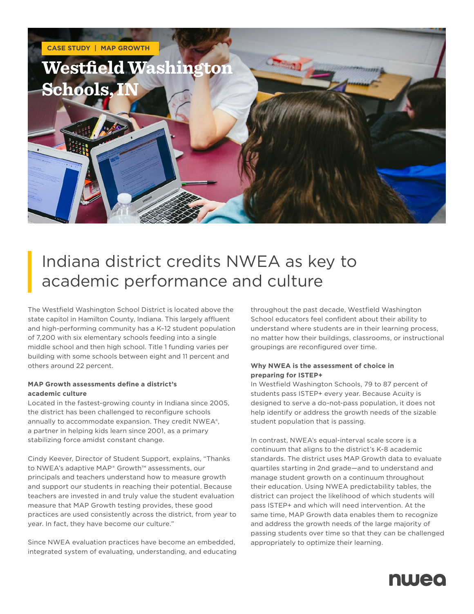

# Indiana district credits NWEA as key to academic performance and culture

The Westfield Washington School District is located above the state capitol in Hamilton County, Indiana. This largely affluent and high-performing community has a K–12 student population of 7,200 with six elementary schools feeding into a single middle school and then high school. Title 1 funding varies per building with some schools between eight and 11 percent and others around 22 percent.

## **MAP Growth assessments define a district's academic culture**

Located in the fastest-growing county in Indiana since 2005, the district has been challenged to reconfigure schools annually to accommodate expansion. They credit NWEA®, a partner in helping kids learn since 2001, as a primary stabilizing force amidst constant change.

Cindy Keever, Director of Student Support, explains, "Thanks to NWEA's adaptive MAP® Growth™ assessments, our principals and teachers understand how to measure growth and support our students in reaching their potential. Because teachers are invested in and truly value the student evaluation measure that MAP Growth testing provides, these good practices are used consistently across the district, from year to year. In fact, they have become our culture."

Since NWEA evaluation practices have become an embedded, integrated system of evaluating, understanding, and educating

throughout the past decade, Westfield Washington School educators feel confident about their ability to understand where students are in their learning process, no matter how their buildings, classrooms, or instructional groupings are reconfigured over time.

## **Why NWEA is the assessment of choice in preparing for ISTEP+**

In Westfield Washington Schools, 79 to 87 percent of students pass ISTEP+ every year. Because Acuity is designed to serve a do-not-pass population, it does not help identify or address the growth needs of the sizable student population that is passing.

In contrast, NWEA's equal-interval scale score is a continuum that aligns to the district's K-8 academic standards. The district uses MAP Growth data to evaluate quartiles starting in 2nd grade—and to understand and manage student growth on a continuum throughout their education. Using NWEA predictability tables, the district can project the likelihood of which students will pass ISTEP+ and which will need intervention. At the same time, MAP Growth data enables them to recognize and address the growth needs of the large majority of passing students over time so that they can be challenged appropriately to optimize their learning.